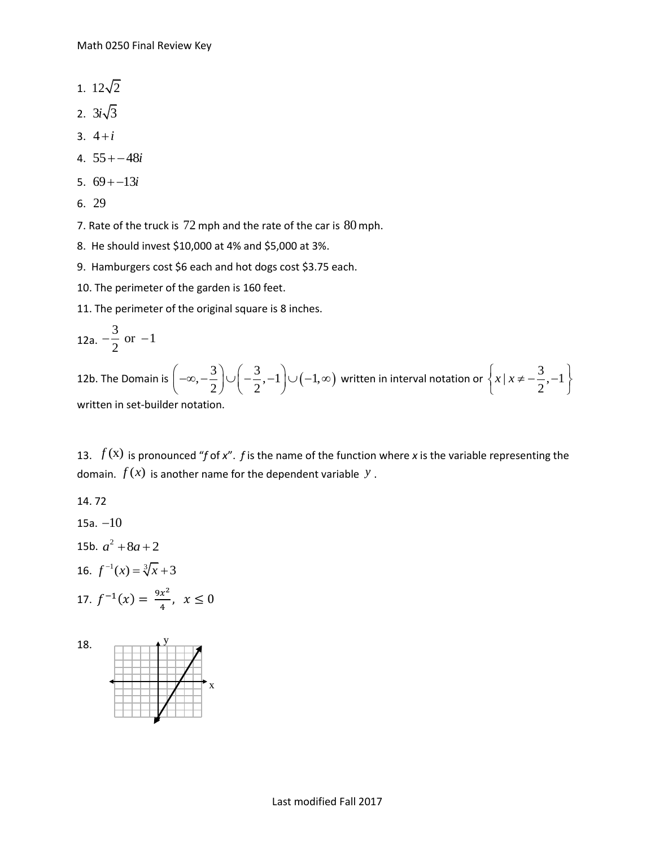- 1.  $12\sqrt{2}$
- 2.  $3i\sqrt{3}$
- 3. 4*i*
- 4.  $55 + -48i$
- 5.  $69 + -13i$
- 6. 29

7. Rate of the truck is  $72$  mph and the rate of the car is  $80$  mph.

- 8. He should invest \$10,000 at 4% and \$5,000 at 3%.
- 9. Hamburgers cost \$6 each and hot dogs cost \$3.75 each.
- 10. The perimeter of the garden is 160 feet.

11. The perimeter of the original square is 8 inches.

12a. 
$$
-\frac{3}{2}
$$
 or  $-1$ 

12b. The Domain is  $\left(-\infty, -\frac{3}{2}\right) \cup \left(-\frac{3}{2}, -1\right) \cup \left(-1, \infty\right)$  $\left(-\infty, -\frac{3}{2}\right) \cup \left(-\frac{3}{2}, -1\right) \cup \left(-1, \infty\right)$  w written in interval notation or  $\begin{cases} x \mid x \neq -\frac{3}{2}, -1 \end{cases}$ 2  $\left\{x \mid x \neq -\frac{3}{2}, -1\right\}$ written in set-builder notation.

13. *f* (x) is pronounced "*f* of *x*". *f* is the name of the function where *x* is the variable representing the domain.  $f(x)$  is another name for the dependent variable  $y$ .

14. 72 15a.  $-10$ 15b.  $a^2 + 8a + 2$ 16.  $f^{-1}(x) = \sqrt[3]{x} + 3$ 17.  $f^{-1}(x) = \frac{9x^2}{4}$  $\frac{x}{4}$ ,  $x \leq 0$ 

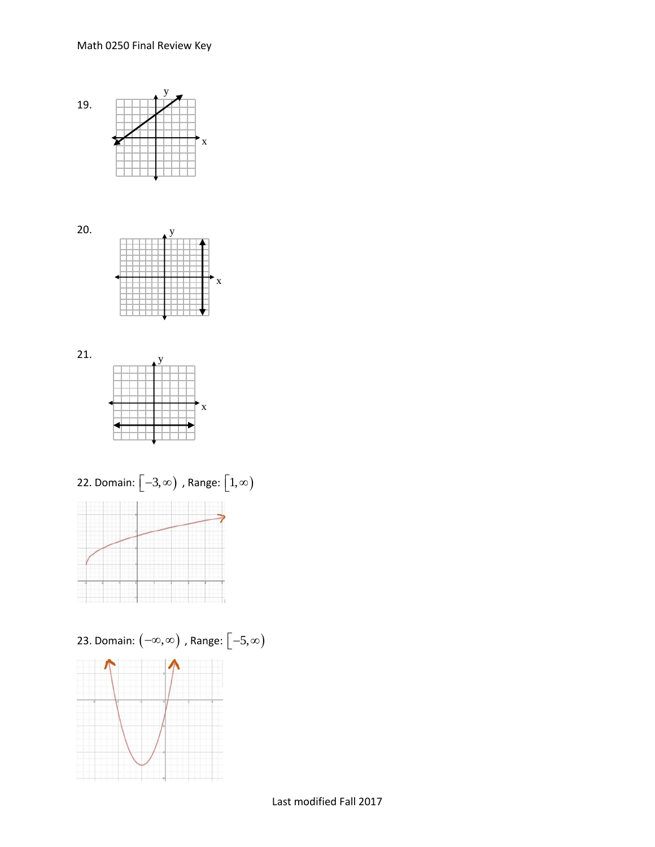







23. Domain:  $\left( -\infty,\infty\right)$  , Range:  $\left[ -5,\infty\right)$ 

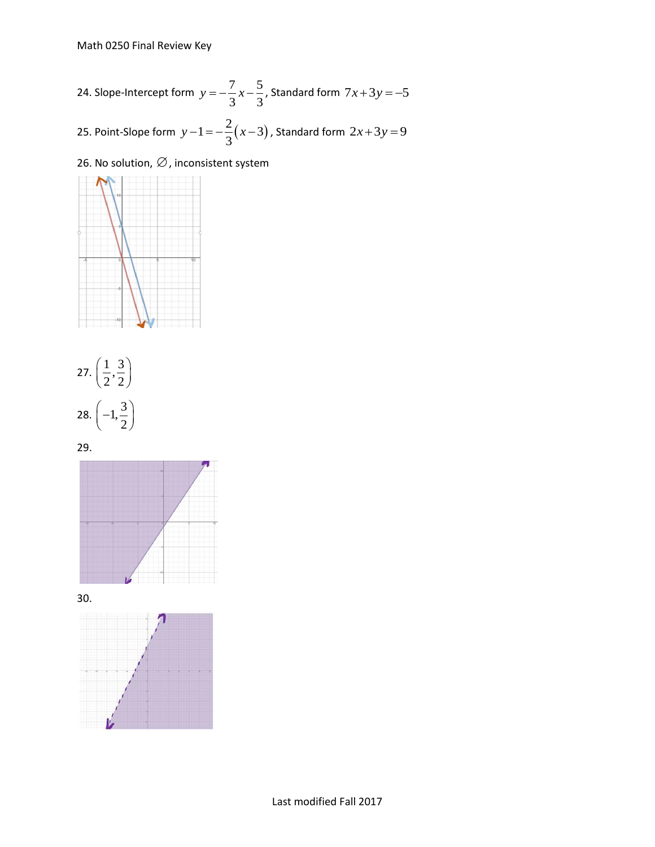24. Slope-Intercept form 
$$
y = -\frac{7}{3}x - \frac{5}{3}
$$
, Standard form  $7x + 3y = -5$   
25. Point-Slope form  $y - 1 = -\frac{2}{3}(x - 3)$ , Standard form  $2x + 3y = 9$ 

26. No solution,  $\varnothing$  , inconsistent system





29.



30.

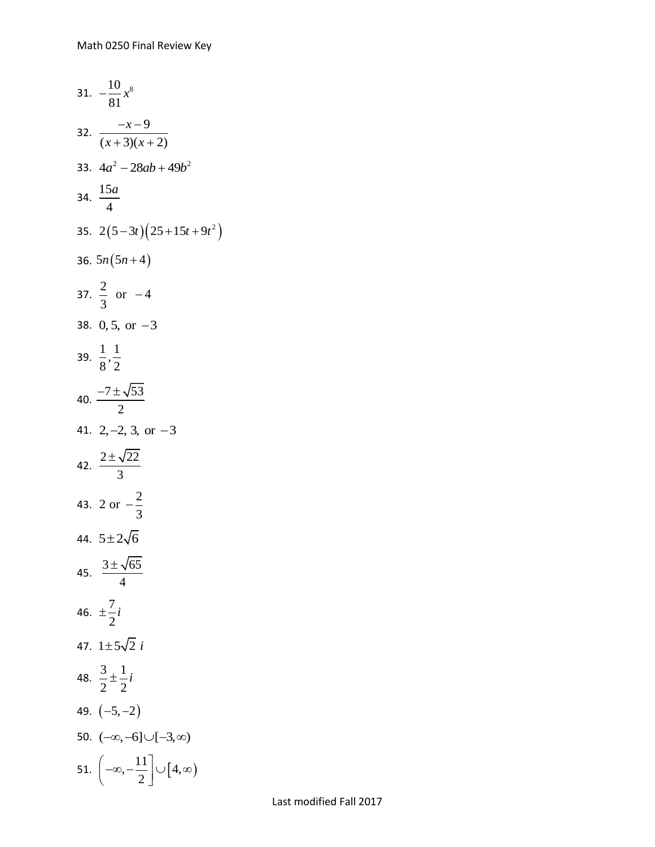31. 
$$
-\frac{10}{81}x^8
$$
  
\n32.  $\frac{-x-9}{(x+3)(x+2)}$   
\n33.  $4a^2-28ab+49b^2$   
\n34.  $\frac{15a}{4}$   
\n35.  $2(5-3t)(25+15t+9t^2)$   
\n36.  $5n(5n+4)$   
\n37.  $\frac{2}{3}$  or  $-4$   
\n38. 0, 5, or  $-3$   
\n39.  $\frac{1}{8}, \frac{1}{2}$   
\n40.  $\frac{-7\pm\sqrt{53}}{2}$   
\n41.  $2, -2, 3$ , or  $-3$   
\n42.  $\frac{2\pm\sqrt{22}}{3}$   
\n43.  $2$  or  $-\frac{2}{3}$   
\n44.  $5\pm 2\sqrt{6}$   
\n45.  $\frac{3\pm\sqrt{65}}{4}$   
\n46.  $\pm \frac{7}{2}i$   
\n47.  $1\pm 5\sqrt{2}i$   
\n48.  $\frac{3}{2}\pm \frac{1}{2}i$   
\n49.  $(-5, -2)$   
\n50.  $(-\infty, -6] \cup [-3, \infty)$   
\n51.  $\left(-\infty, -\frac{11}{2}\right] \cup [4, \infty)$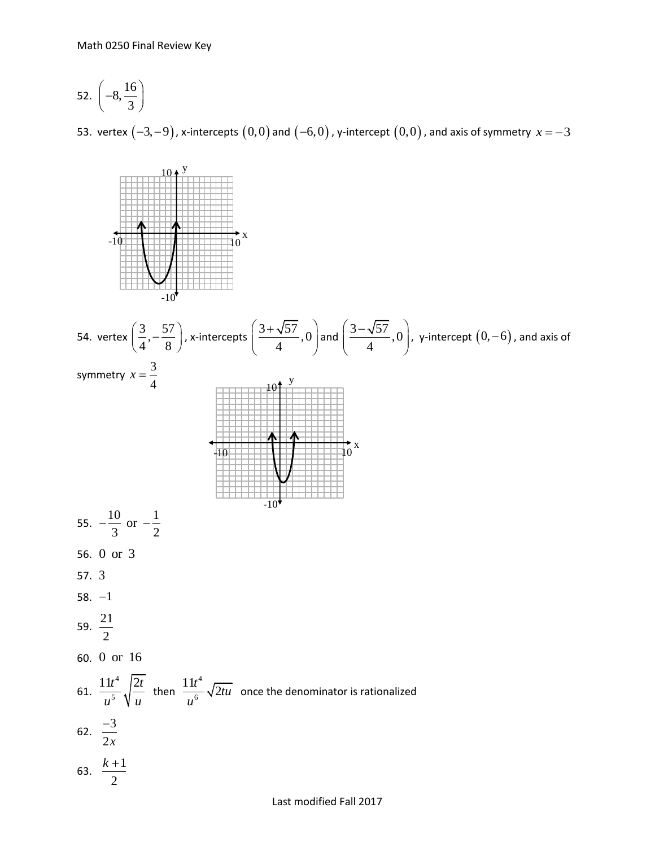$$
52. \left(-8, \frac{16}{3}\right)
$$

53. <code>vertex</code>  $(-3,-9)$ , x-intercepts  $(0,0)$  and  $(-6,0)$  , y-intercept  $(0,0)$  , and axis of symmetry  $\,x\!=\!-3$ 



Last modified Fall 2017